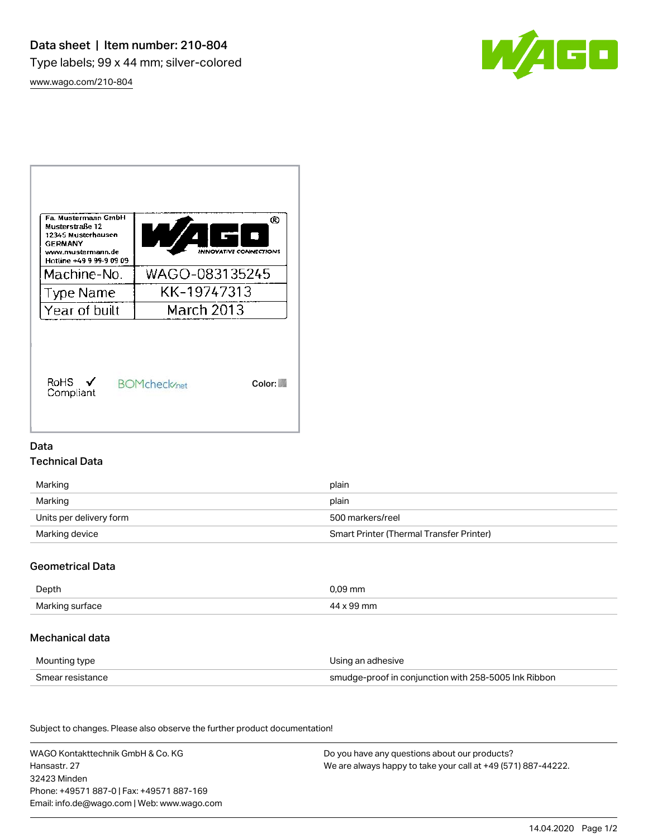

[www.wago.com/210-804](http://www.wago.com/210-804)



### Data

# Technical Data

| Marking                 | plain                                    |  |
|-------------------------|------------------------------------------|--|
| Marking                 | plain                                    |  |
| Units per delivery form | 500 markers/reel                         |  |
| Marking device          | Smart Printer (Thermal Transfer Printer) |  |

# Geometrical Data

| Depth                    |    |
|--------------------------|----|
| Marking<br>Jui Tace<br>ັ | 'n |

### Mechanical data

| Mounting type    | Using an adhesive                                    |
|------------------|------------------------------------------------------|
| Smear resistance | smudge-proof in conjunction with 258-5005 Ink Ribbon |

Subject to changes. Please also observe the further product documentation! Material Data

| WAGO Kontakttechnik GmbH & Co. KG           | Do you have any questions about our products?                 |
|---------------------------------------------|---------------------------------------------------------------|
| Hansastr, 27                                | We are always happy to take your call at +49 (571) 887-44222. |
| 32423 Minden                                |                                                               |
| Phone: +49571 887-01 Fax: +49571 887-169    |                                                               |
| Email: info.de@wago.com   Web: www.wago.com |                                                               |